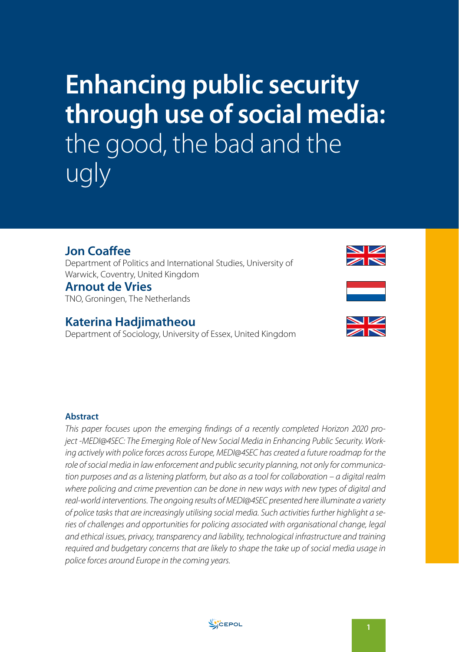# **Enhancing public security through use of social media:**  the good, the bad and the ugly

## **Jon Coaffee**

Department of Politics and International Studies, University of Warwick, Coventry, United Kingdom

### **Arnout de Vries**

TNO, Groningen, The Netherlands

## **Katerina Hadjimatheou**

Department of Sociology, University of Essex, United Kingdom







#### **Abstract**

*This paper focuses upon the emerging findings of a recently completed Horizon 2020 project -MEDI@4SEC: The Emerging Role of New Social Media in Enhancing Public Security. Working actively with police forces across Europe, MEDI@4SEC has created a future roadmap for the role of social media in law enforcement and public security planning, not only for communication purposes and as a listening platform, but also as a tool for collaboration – a digital realm where policing and crime prevention can be done in new ways with new types of digital and real-world interventions. The ongoing results of MEDI@4SEC presented here illuminate a variety of police tasks that are increasingly utilising social media. Such activities further highlight a series of challenges and opportunities for policing associated with organisational change, legal and ethical issues, privacy, transparency and liability, technological infrastructure and training required and budgetary concerns that are likely to shape the take up of social media usage in police forces around Europe in the coming years.*

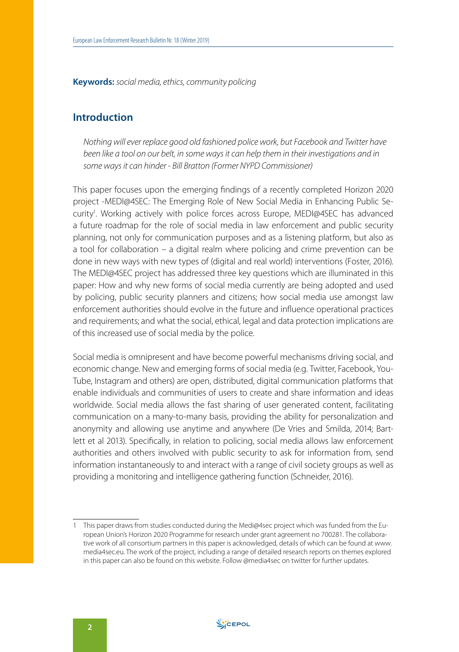**Keywords:** *social media, ethics, community policing*

#### **Introduction**

*Nothing will ever replace good old fashioned police work, but Facebook and Twitter have been like a tool on our belt, in some ways it can help them in their investigations and in some ways it can hinder - Bill Bratton (Former NYPD Commissioner)*

This paper focuses upon the emerging findings of a recently completed Horizon 2020 project -MEDI@4SEC: The Emerging Role of New Social Media in Enhancing Public Security<sup>1</sup>. Working actively with police forces across Europe, MEDI@4SEC has advanced a future roadmap for the role of social media in law enforcement and public security planning, not only for communication purposes and as a listening platform, but also as a tool for collaboration – a digital realm where policing and crime prevention can be done in new ways with new types of (digital and real world) interventions (Foster, 2016). The MEDI@4SEC project has addressed three key questions which are illuminated in this paper: How and why new forms of social media currently are being adopted and used by policing, public security planners and citizens; how social media use amongst law enforcement authorities should evolve in the future and influence operational practices and requirements; and what the social, ethical, legal and data protection implications are of this increased use of social media by the police.

Social media is omnipresent and have become powerful mechanisms driving social, and economic change. New and emerging forms of social media (e.g. Twitter, Facebook, You-Tube, Instagram and others) are open, distributed, digital communication platforms that enable individuals and communities of users to create and share information and ideas worldwide. Social media allows the fast sharing of user generated content, facilitating communication on a many-to-many basis, providing the ability for personalization and anonymity and allowing use anytime and anywhere (De Vries and Smilda, 2014; Bartlett et al 2013). Specifically, in relation to policing, social media allows law enforcement authorities and others involved with public security to ask for information from, send information instantaneously to and interact with a range of civil society groups as well as providing a monitoring and intelligence gathering function (Schneider, 2016).

<sup>1</sup> This paper draws from studies conducted during the Medi@4sec project which was funded from the European Union's Horizon 2020 Programme for research under grant agreement no 700281. The collaborative work of all consortium partners in this paper is acknowledged, details of which can be found at [www.](http://www.media4sec.eu) [media4sec.eu](http://www.media4sec.eu). The work of the project, including a range of detailed research reports on themes explored in this paper can also be found on this website. Follow @media4sec on twitter for further updates.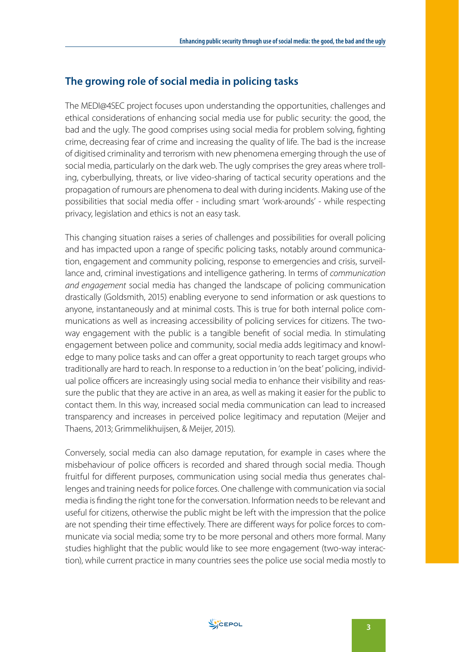#### **The growing role of social media in policing tasks**

The MEDI@4SEC project focuses upon understanding the opportunities, challenges and ethical considerations of enhancing social media use for public security: the good, the bad and the ugly. The good comprises using social media for problem solving, fighting crime, decreasing fear of crime and increasing the quality of life. The bad is the increase of digitised criminality and terrorism with new phenomena emerging through the use of social media, particularly on the dark web. The ugly comprises the grey areas where trolling, cyberbullying, threats, or live video-sharing of tactical security operations and the propagation of rumours are phenomena to deal with during incidents. Making use of the possibilities that social media offer - including smart 'work-arounds' - while respecting privacy, legislation and ethics is not an easy task.

This changing situation raises a series of challenges and possibilities for overall policing and has impacted upon a range of specific policing tasks, notably around communication, engagement and community policing, response to emergencies and crisis, surveillance and, criminal investigations and intelligence gathering. In terms of *communication and engagement* social media has changed the landscape of policing communication drastically (Goldsmith, 2015) enabling everyone to send information or ask questions to anyone, instantaneously and at minimal costs. This is true for both internal police communications as well as increasing accessibility of policing services for citizens. The twoway engagement with the public is a tangible benefit of social media. In stimulating engagement between police and community, social media adds legitimacy and knowledge to many police tasks and can offer a great opportunity to reach target groups who traditionally are hard to reach. In response to a reduction in 'on the beat' policing, individual police officers are increasingly using social media to enhance their visibility and reassure the public that they are active in an area, as well as making it easier for the public to contact them. In this way, increased social media communication can lead to increased transparency and increases in perceived police legitimacy and reputation (Meijer and Thaens, 2013; Grimmelikhuijsen, & Meijer, 2015).

Conversely, social media can also damage reputation, for example in cases where the misbehaviour of police officers is recorded and shared through social media. Though fruitful for different purposes, communication using social media thus generates challenges and training needs for police forces. One challenge with communication via social media is finding the right tone for the conversation. Information needs to be relevant and useful for citizens, otherwise the public might be left with the impression that the police are not spending their time effectively. There are different ways for police forces to communicate via social media; some try to be more personal and others more formal. Many studies highlight that the public would like to see more engagement (two-way interaction), while current practice in many countries sees the police use social media mostly to

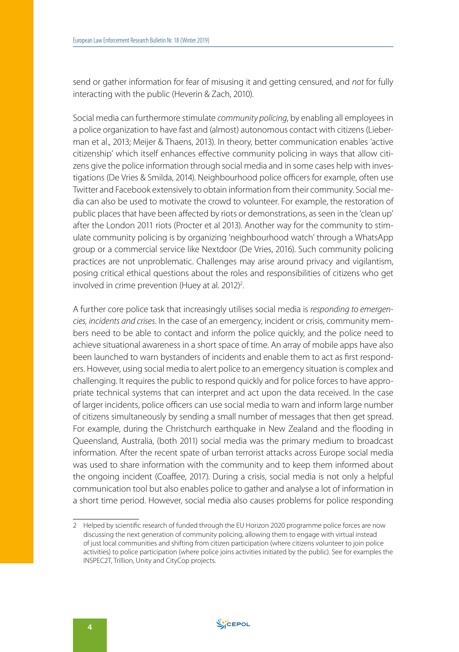send or gather information for fear of misusing it and getting censured, and *not* for fully interacting with the public (Heverin & Zach, 2010).

Social media can furthermore stimulate *community policing*, by enabling all employees in a police organization to have fast and (almost) autonomous contact with citizens (Lieberman et al., 2013; Meijer & Thaens, 2013). In theory, better communication enables 'active citizenship' which itself enhances effective community policing in ways that allow citizens give the police information through social media and in some cases help with investigations (De Vries & Smilda, 2014). Neighbourhood police officers for example, often use Twitter and Facebook extensively to obtain information from their community. Social media can also be used to motivate the crowd to volunteer. For example, the restoration of public places that have been affected by riots or demonstrations, as seen in the 'clean up' after the London 2011 riots (Procter et al 2013). Another way for the community to stimulate community policing is by organizing 'neighbourhood watch' through a WhatsApp group or a commercial service like Nextdoor (De Vries, 2016). Such community policing practices are not unproblematic. Challenges may arise around privacy and vigilantism, posing critical ethical questions about the roles and responsibilities of citizens who get involved in crime prevention (Huey at al.  $2012$ )<sup>2</sup>. .

A further core police task that increasingly utilises social media is *responding to emergencies, incidents and crises*. In the case of an emergency, incident or crisis, community members need to be able to contact and inform the police quickly, and the police need to achieve situational awareness in a short space of time. An array of mobile apps have also been launched to warn bystanders of incidents and enable them to act as first responders. However, using social media to alert police to an emergency situation is complex and challenging. It requires the public to respond quickly and for police forces to have appropriate technical systems that can interpret and act upon the data received. In the case of larger incidents, police officers can use social media to warn and inform large number of citizens simultaneously by sending a small number of messages that then get spread. For example, during the Christchurch earthquake in New Zealand and the flooding in Queensland, Australia, (both 2011) social media was the primary medium to broadcast information. After the recent spate of urban terrorist attacks across Europe social media was used to share information with the community and to keep them informed about the ongoing incident (Coaffee, 2017). During a crisis, social media is not only a helpful communication tool but also enables police to gather and analyse a lot of information in a short time period. However, social media also causes problems for police responding



<sup>2</sup> Helped by scientific research of funded through the EU Horizon 2020 programme police forces are now discussing the next generation of community policing, allowing them to engage with virtual instead of just local communities and shifting from citizen participation (where citizens volunteer to join police activities) to police participation (where police joins activities initiated by the public). See for examples the INSPEC2T, Trillion, Unity and CityCop projects.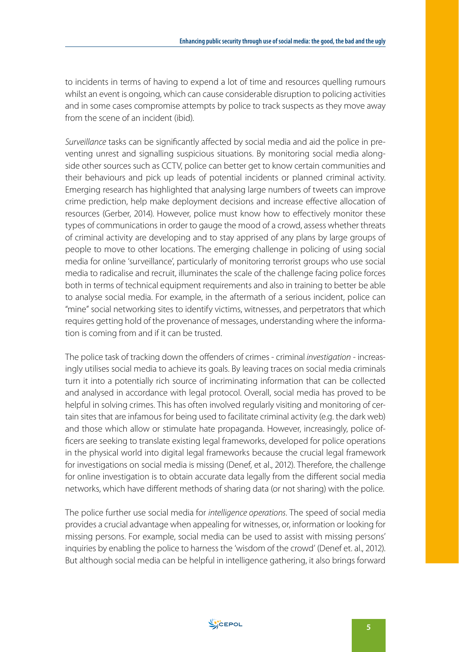to incidents in terms of having to expend a lot of time and resources quelling rumours whilst an event is ongoing, which can cause considerable disruption to policing activities and in some cases compromise attempts by police to track suspects as they move away from the scene of an incident (ibid).

*Surveillance* tasks can be significantly affected by social media and aid the police in preventing unrest and signalling suspicious situations. By monitoring social media alongside other sources such as CCTV, police can better get to know certain communities and their behaviours and pick up leads of potential incidents or planned criminal activity. Emerging research has highlighted that analysing large numbers of tweets can improve crime prediction, help make deployment decisions and increase effective allocation of resources (Gerber, 2014). However, police must know how to effectively monitor these types of communications in order to gauge the mood of a crowd, assess whether threats of criminal activity are developing and to stay apprised of any plans by large groups of people to move to other locations. The emerging challenge in policing of using social media for online 'surveillance', particularly of monitoring terrorist groups who use social media to radicalise and recruit, illuminates the scale of the challenge facing police forces both in terms of technical equipment requirements and also in training to better be able to analyse social media. For example, in the aftermath of a serious incident, police can "mine" social networking sites to identify victims, witnesses, and perpetrators that which requires getting hold of the provenance of messages, understanding where the information is coming from and if it can be trusted.

The police task of tracking down the offenders of crimes - criminal *investigation* - increasingly utilises social media to achieve its goals. By leaving traces on social media criminals turn it into a potentially rich source of incriminating information that can be collected and analysed in accordance with legal protocol. Overall, social media has proved to be helpful in solving crimes. This has often involved regularly visiting and monitoring of certain sites that are infamous for being used to facilitate criminal activity (e.g. the dark web) and those which allow or stimulate hate propaganda. However, increasingly, police officers are seeking to translate existing legal frameworks, developed for police operations in the physical world into digital legal frameworks because the crucial legal framework for investigations on social media is missing (Denef, et al., 2012). Therefore, the challenge for online investigation is to obtain accurate data legally from the different social media networks, which have different methods of sharing data (or not sharing) with the police.

The police further use social media for *intelligence operations*. The speed of social media provides a crucial advantage when appealing for witnesses, or, information or looking for missing persons. For example, social media can be used to assist with missing persons' inquiries by enabling the police to harness the 'wisdom of the crowd' (Denef et. al., 2012). But although social media can be helpful in intelligence gathering, it also brings forward

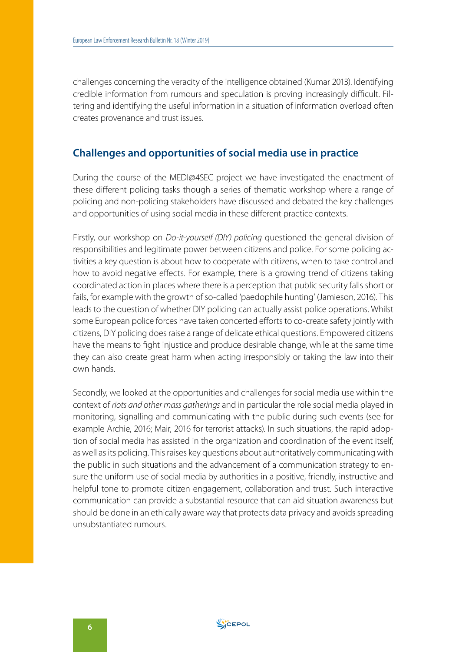challenges concerning the veracity of the intelligence obtained (Kumar 2013). Identifying credible information from rumours and speculation is proving increasingly difficult. Filtering and identifying the useful information in a situation of information overload often creates provenance and trust issues.

#### **Challenges and opportunities of social media use in practice**

During the course of the MEDI@4SEC project we have investigated the enactment of these different policing tasks though a series of thematic workshop where a range of policing and non-policing stakeholders have discussed and debated the key challenges and opportunities of using social media in these different practice contexts.

Firstly, our workshop on *Do-it-yourself (DIY) policing* questioned the general division of responsibilities and legitimate power between citizens and police. For some policing activities a key question is about how to cooperate with citizens, when to take control and how to avoid negative effects. For example, there is a growing trend of citizens taking coordinated action in places where there is a perception that public security falls short or fails, for example with the growth of so-called 'paedophile hunting' (Jamieson, 2016). This leads to the question of whether DIY policing can actually assist police operations. Whilst some European police forces have taken concerted efforts to co-create safety jointly with citizens, DIY policing does raise a range of delicate ethical questions. Empowered citizens have the means to fight injustice and produce desirable change, while at the same time they can also create great harm when acting irresponsibly or taking the law into their own hands.

Secondly, we looked at the opportunities and challenges for social media use within the context of *riots and other mass gatherings* and in particular the role social media played in monitoring, signalling and communicating with the public during such events (see for example Archie, 2016; Mair, 2016 for terrorist attacks). In such situations, the rapid adoption of social media has assisted in the organization and coordination of the event itself, as well as its policing. This raises key questions about authoritatively communicating with the public in such situations and the advancement of a communication strategy to ensure the uniform use of social media by authorities in a positive, friendly, instructive and helpful tone to promote citizen engagement, collaboration and trust. Such interactive communication can provide a substantial resource that can aid situation awareness but should be done in an ethically aware way that protects data privacy and avoids spreading unsubstantiated rumours.

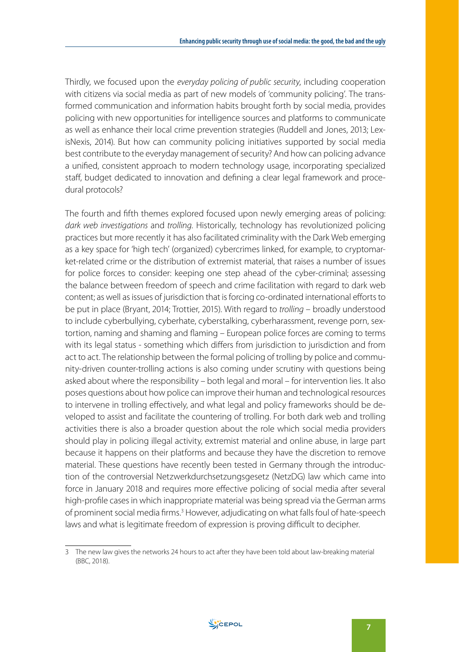Thirdly, we focused upon the *everyday policing of public security*, including cooperation with citizens via social media as part of new models of 'community policing'. The transformed communication and information habits brought forth by social media, provides policing with new opportunities for intelligence sources and platforms to communicate as well as enhance their local crime prevention strategies (Ruddell and Jones, 2013; LexisNexis, 2014). But how can community policing initiatives supported by social media best contribute to the everyday management of security? And how can policing advance a unified, consistent approach to modern technology usage, incorporating specialized staff, budget dedicated to innovation and defining a clear legal framework and procedural protocols?

The fourth and fifth themes explored focused upon newly emerging areas of policing: *dark web investigations* and *trolling*. Historically, technology has revolutionized policing practices but more recently it has also facilitated criminality with the Dark Web emerging as a key space for 'high tech' (organized) cybercrimes linked, for example, to cryptomarket-related crime or the distribution of extremist material, that raises a number of issues for police forces to consider: keeping one step ahead of the cyber-criminal; assessing the balance between freedom of speech and crime facilitation with regard to dark web content; as well as issues of jurisdiction that is forcing co-ordinated international efforts to be put in place (Bryant, 2014; Trottier, 2015). With regard to *trolling* – broadly understood to include cyberbullying, cyberhate, cyberstalking, cyberharassment, revenge porn, sextortion, naming and shaming and flaming – European police forces are coming to terms with its legal status - something which differs from jurisdiction to jurisdiction and from act to act. The relationship between the formal policing of trolling by police and community-driven counter-trolling actions is also coming under scrutiny with questions being asked about where the responsibility – both legal and moral – for intervention lies. It also poses questions about how police can improve their human and technological resources to intervene in trolling effectively, and what legal and policy frameworks should be developed to assist and facilitate the countering of trolling. For both dark web and trolling activities there is also a broader question about the role which social media providers should play in policing illegal activity, extremist material and online abuse, in large part because it happens on their platforms and because they have the discretion to remove material. These questions have recently been tested in Germany through the introduction of the controversial Netzwerkdurchsetzungsgesetz (NetzDG) law which came into force in January 2018 and requires more effective policing of social media after several high-profile cases in which inappropriate material was being spread via the German arms of prominent social media firms.<sup>3</sup> However, adjudicating on what falls foul of hate-speech laws and what is legitimate freedom of expression is proving difficult to decipher.



<sup>3</sup> The new law gives the networks 24 hours to act after they have been told about law-breaking material (BBC, 2018).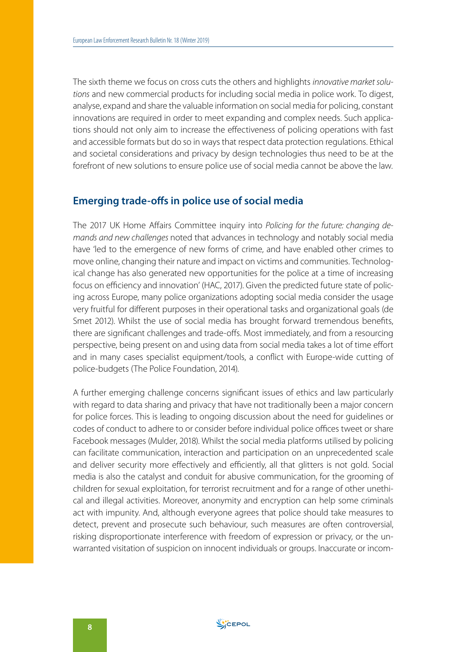The sixth theme we focus on cross cuts the others and highlights *innovative market solutions* and new commercial products for including social media in police work. To digest, analyse, expand and share the valuable information on social media for policing, constant innovations are required in order to meet expanding and complex needs. Such applications should not only aim to increase the effectiveness of policing operations with fast and accessible formats but do so in ways that respect data protection regulations. Ethical and societal considerations and privacy by design technologies thus need to be at the forefront of new solutions to ensure police use of social media cannot be above the law.

#### **Emerging trade-offs in police use of social media**

The 2017 UK Home Affairs Committee inquiry into *Policing for the future: changing demands and new challenges* noted that advances in technology and notably social media have 'led to the emergence of new forms of crime, and have enabled other crimes to move online, changing their nature and impact on victims and communities. Technological change has also generated new opportunities for the police at a time of increasing focus on efficiency and innovation' (HAC, 2017). Given the predicted future state of policing across Europe, many police organizations adopting social media consider the usage very fruitful for different purposes in their operational tasks and organizational goals (de Smet 2012). Whilst the use of social media has brought forward tremendous benefits, there are significant challenges and trade-offs. Most immediately, and from a resourcing perspective, being present on and using data from social media takes a lot of time effort and in many cases specialist equipment/tools, a conflict with Europe-wide cutting of police-budgets (The Police Foundation, 2014).

A further emerging challenge concerns significant issues of ethics and law particularly with regard to data sharing and privacy that have not traditionally been a major concern for police forces. This is leading to ongoing discussion about the need for guidelines or codes of conduct to adhere to or consider before individual police offices tweet or share Facebook messages (Mulder, 2018). Whilst the social media platforms utilised by policing can facilitate communication, interaction and participation on an unprecedented scale and deliver security more effectively and efficiently, all that glitters is not gold. Social media is also the catalyst and conduit for abusive communication, for the grooming of children for sexual exploitation, for terrorist recruitment and for a range of other unethical and illegal activities. Moreover, anonymity and encryption can help some criminals act with impunity. And, although everyone agrees that police should take measures to detect, prevent and prosecute such behaviour, such measures are often controversial, risking disproportionate interference with freedom of expression or privacy, or the unwarranted visitation of suspicion on innocent individuals or groups. Inaccurate or incom-

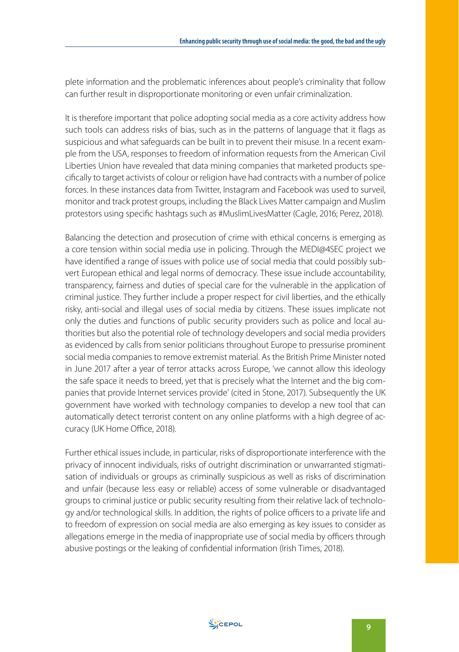plete information and the problematic inferences about people's criminality that follow can further result in disproportionate monitoring or even unfair criminalization.

It is therefore important that police adopting social media as a core activity address how such tools can address risks of bias, such as in the patterns of language that it flags as suspicious and what safeguards can be built in to prevent their misuse. In a recent example from the USA, responses to freedom of information requests from the American Civil Liberties Union have revealed that data mining companies that marketed products specifically to target activists of colour or religion have had contracts with a number of police forces. In these instances data from Twitter, Instagram and Facebook was used to surveil, monitor and track protest groups, including the Black Lives Matter campaign and Muslim protestors using specific hashtags such as #MuslimLivesMatter (Cagle, 2016; Perez, 2018).

Balancing the detection and prosecution of crime with ethical concerns is emerging as a core tension within social media use in policing. Through the MEDI@4SEC project we have identified a range of issues with police use of social media that could possibly subvert European ethical and legal norms of democracy. These issue include accountability, transparency, fairness and duties of special care for the vulnerable in the application of criminal justice. They further include a proper respect for civil liberties, and the ethically risky, anti-social and illegal uses of social media by citizens. These issues implicate not only the duties and functions of public security providers such as police and local authorities but also the potential role of technology developers and social media providers as evidenced by calls from senior politicians throughout Europe to pressurise prominent social media companies to remove extremist material. As the British Prime Minister noted in June 2017 after a year of terror attacks across Europe, 'we cannot allow this ideology the safe space it needs to breed, yet that is precisely what the Internet and the big companies that provide Internet services provide' (cited in Stone, 2017). Subsequently the UK government have worked with technology companies to develop a new tool that can automatically detect terrorist content on any online platforms with a high degree of accuracy (UK Home Office, 2018).

Further ethical issues include, in particular, risks of disproportionate interference with the privacy of innocent individuals, risks of outright discrimination or unwarranted stigmatisation of individuals or groups as criminally suspicious as well as risks of discrimination and unfair (because less easy or reliable) access of some vulnerable or disadvantaged groups to criminal justice or public security resulting from their relative lack of technology and/or technological skills. In addition, the rights of police officers to a private life and to freedom of expression on social media are also emerging as key issues to consider as allegations emerge in the media of inappropriate use of social media by officers through abusive postings or the leaking of confidential information (Irish Times, 2018).

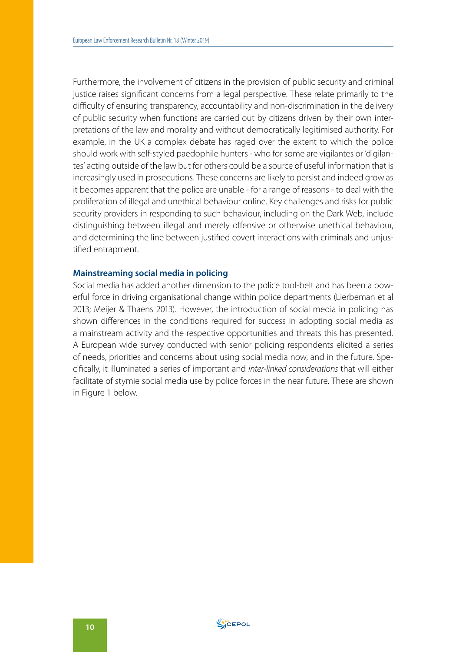Furthermore, the involvement of citizens in the provision of public security and criminal justice raises significant concerns from a legal perspective. These relate primarily to the difficulty of ensuring transparency, accountability and non-discrimination in the delivery of public security when functions are carried out by citizens driven by their own interpretations of the law and morality and without democratically legitimised authority. For example, in the UK a complex debate has raged over the extent to which the police should work with self-styled paedophile hunters - who for some are vigilantes or 'digilantes' acting outside of the law but for others could be a source of useful information that is increasingly used in prosecutions. These concerns are likely to persist and indeed grow as it becomes apparent that the police are unable - for a range of reasons - to deal with the proliferation of illegal and unethical behaviour online. Key challenges and risks for public security providers in responding to such behaviour, including on the Dark Web, include distinguishing between illegal and merely offensive or otherwise unethical behaviour, and determining the line between justified covert interactions with criminals and unjustified entrapment.

#### **Mainstreaming social media in policing**

Social media has added another dimension to the police tool-belt and has been a powerful force in driving organisational change within police departments (Lierbeman et al 2013; Meijer & Thaens 2013). However, the introduction of social media in policing has shown differences in the conditions required for success in adopting social media as a mainstream activity and the respective opportunities and threats this has presented. A European wide survey conducted with senior policing respondents elicited a series of needs, priorities and concerns about using social media now, and in the future. Specifically, it illuminated a series of important and *inter-linked considerations* that will either facilitate of stymie social media use by police forces in the near future. These are shown in Figure 1 below.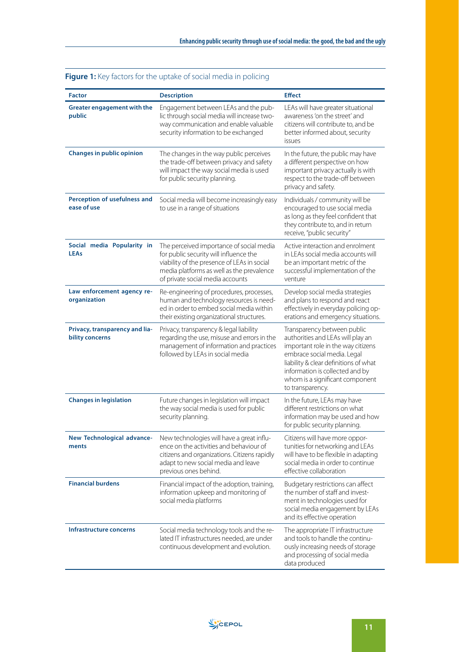| <b>Factor</b>                                     | <b>Description</b>                                                                                                                                                                                                 | <b>Effect</b>                                                                                                                                                                                                                                                            |
|---------------------------------------------------|--------------------------------------------------------------------------------------------------------------------------------------------------------------------------------------------------------------------|--------------------------------------------------------------------------------------------------------------------------------------------------------------------------------------------------------------------------------------------------------------------------|
| Greater engagement with the<br>public             | Engagement between LEAs and the pub-<br>lic through social media will increase two-<br>way communication and enable valuable<br>security information to be exchanged                                               | LEAs will have greater situational<br>awareness 'on the street' and<br>citizens will contribute to, and be<br>better informed about, security<br>issues                                                                                                                  |
| <b>Changes in public opinion</b>                  | The changes in the way public perceives<br>the trade-off between privacy and safety<br>will impact the way social media is used<br>for public security planning.                                                   | In the future, the public may have<br>a different perspective on how<br>important privacy actually is with<br>respect to the trade-off between<br>privacy and safety.                                                                                                    |
| Perception of usefulness and<br>ease of use       | Social media will become increasingly easy<br>to use in a range of situations                                                                                                                                      | Individuals / community will be<br>encouraged to use social media<br>as long as they feel confident that<br>they contribute to, and in return<br>receive, "public security"                                                                                              |
| Social media Popularity in<br><b>LEAs</b>         | The perceived importance of social media<br>for public security will influence the<br>viability of the presence of LEAs in social<br>media platforms as well as the prevalence<br>of private social media accounts | Active interaction and enrolment<br>in LEAs social media accounts will<br>be an important metric of the<br>successful implementation of the<br>venture                                                                                                                   |
| Law enforcement agency re-<br>organization        | Re-engineering of procedures, processes,<br>human and technology resources is need-<br>ed in order to embed social media within<br>their existing organizational structures.                                       | Develop social media strategies<br>and plans to respond and react<br>effectively in everyday policing op-<br>erations and emergency situations.                                                                                                                          |
| Privacy, transparency and lia-<br>bility concerns | Privacy, transparency & legal liability<br>regarding the use, misuse and errors in the<br>management of information and practices<br>followed by LEAs in social media                                              | Transparency between public<br>authorities and LEAs will play an<br>important role in the way citizens<br>embrace social media. Legal<br>liability & clear definitions of what<br>information is collected and by<br>whom is a significant component<br>to transparency. |
| <b>Changes in legislation</b>                     | Future changes in legislation will impact<br>the way social media is used for public<br>security planning.                                                                                                         | In the future, LEAs may have<br>different restrictions on what<br>information may be used and how<br>for public security planning.                                                                                                                                       |
| New Technological advance-<br>ments               | New technologies will have a great influ-<br>ence on the activities and behaviour of<br>citizens and organizations. Citizens rapidly<br>adapt to new social media and leave<br>previous ones behind.               | Citizens will have more oppor-<br>tunities for networking and LEAs<br>will have to be flexible in adapting<br>social media in order to continue<br>effective collaboration                                                                                               |
| <b>Financial burdens</b>                          | Financial impact of the adoption, training,<br>information upkeep and monitoring of<br>social media platforms                                                                                                      | Budgetary restrictions can affect<br>the number of staff and invest-<br>ment in technologies used for<br>social media engagement by LEAs<br>and its effective operation                                                                                                  |
| <b>Infrastructure concerns</b>                    | Social media technology tools and the re-<br>lated IT infrastructures needed, are under<br>continuous development and evolution.                                                                                   | The appropriate IT infrastructure<br>and tools to handle the continu-<br>ously increasing needs of storage<br>and processing of social media<br>data produced                                                                                                            |

#### **Figure 1:** Key factors for the uptake of social media in policing

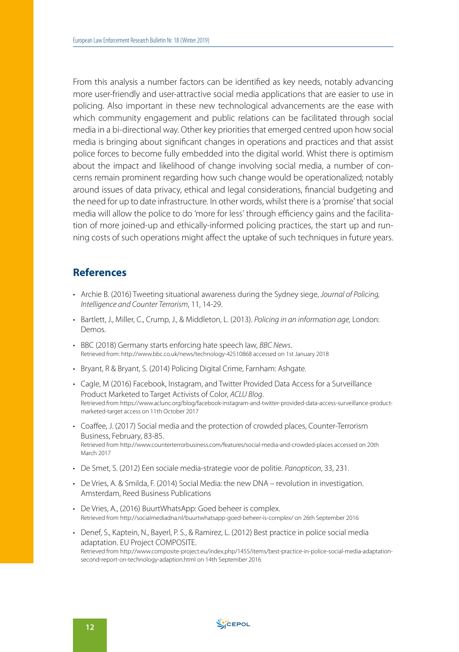From this analysis a number factors can be identified as key needs, notably advancing more user-friendly and user-attractive social media applications that are easier to use in policing. Also important in these new technological advancements are the ease with which community engagement and public relations can be facilitated through social media in a bi-directional way. Other key priorities that emerged centred upon how social media is bringing about significant changes in operations and practices and that assist police forces to become fully embedded into the digital world. Whist there is optimism about the impact and likelihood of change involving social media, a number of concerns remain prominent regarding how such change would be operationalized; notably around issues of data privacy, ethical and legal considerations, financial budgeting and the need for up to date infrastructure. In other words, whilst there is a 'promise' that social media will allow the police to do 'more for less' through efficiency gains and the facilitation of more joined-up and ethically-informed policing practices, the start up and running costs of such operations might affect the uptake of such techniques in future years.

#### **References**

- Archie B. (2016) Tweeting situational awareness during the Sydney siege, *Journal of Policing, Intelligence and Counter Terrorism*, 11, 14-29.
- Bartlett, J., Miller, C., Crump, J., & Middleton, L. (2013). *Policing in an information age,* London: Demos.
- BBC (2018) Germany starts enforcing hate speech law, *BBC News*. Retrieved from: <http://www.bbc.co.uk/news/technology-42510868>accessed on 1st January 2018
- Bryant, R & Bryant, S. (2014) Policing Digital Crime, Farnham: Ashgate.
- Cagle, M (2016) Facebook, Instagram, and Twitter Provided Data Access for a Surveillance Product Marketed to Target Activists of Color, *ACLU Blog.*<br>Retrieved from [https://www.aclunc.org/blog/facebook-instagram-and-twitter-provided-data-access-surveillance-product](https://www.aclunc.org/blog/facebook-instagram-and-twitter-provided-data-access-surveillance-product-marketed-target)[marketed-target](https://www.aclunc.org/blog/facebook-instagram-and-twitter-provided-data-access-surveillance-product-marketed-target) access on 11th October 2017
- Coaffee, J. (2017) Social media and the protection of crowded places, Counter-Terrorism Business, February, 83-85. Retrieved from <http://www.counterterrorbusiness.com/features/social-media-and-crowded-places> accessed on 20th March 2017
- De Smet, S. (2012) Een sociale media-strategie voor de politie. *Panopticon*, 33, 231.
- De Vries, A. & Smilda, F. (2014) Social Media: the new DNA revolution in investigation. Amsterdam, Reed Business Publications
- De Vries, A., (2016) BuurtWhatsApp: Goed beheer is complex. Retrieved from <http://socialmediadna.nl/buurtwhatsapp-goed-beheer-is-complex/> on 26th September 2016
- Denef, S., Kaptein, N., Bayerl, P. S., & Ramirez, L. (2012) Best practice in police social media adaptation. EU Project COMPOSITE. Retrieved from [http://www.composite-project.eu/index.php/1455/items/best-practice-in-police-social-media-adaptation](http://www.composite-project.eu/index.php/1455/items/best-practice-in-police-social-media-adaptation-second-report-on-technology-adaption.html)[second-report-on-technology-adaption.html](http://www.composite-project.eu/index.php/1455/items/best-practice-in-police-social-media-adaptation-second-report-on-technology-adaption.html) on 14th September 2016

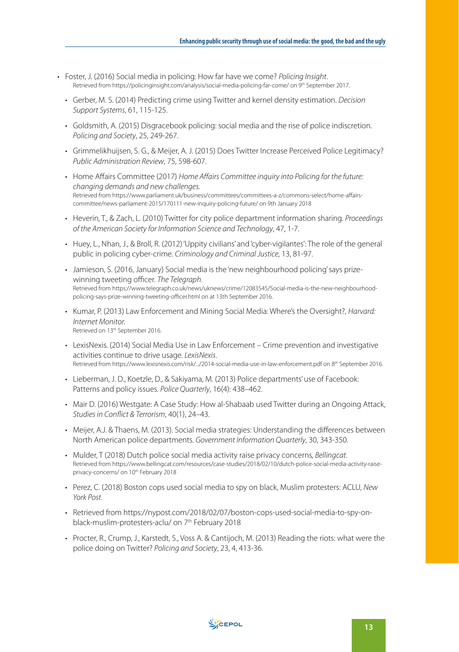- Foster, J. (2016) Social media in policing: How far have we come? *Policing Insight*. Retrieved from<https://policinginsight.com/analysis/social-media-policing-far-come/> on 9<sup>th</sup> September 2017.
	- Gerber, M. S. (2014) Predicting crime using Twitter and kernel density estimation. *Decision Support Systems*, 61, 115-125.
	- Goldsmith, A. (2015) Disgracebook policing: social media and the rise of police indiscretion. *Policing and Society*, 25, 249-267.
	- Grimmelikhuijsen, S. G., & Meijer, A. J. (2015) Does Twitter Increase Perceived Police Legitimacy? *Public Administration Review*, 75, 598-607.
	- Home Affairs Committee (2017) *Home Affairs Committee inquiry into Policing for the future: changing demands and new challenges.* Retrieved from [https://www.parliament.uk/business/committees/committees-a-z/commons-select/home-affairs](https://www.parliament.uk/business/committees/committees-a-z/commons-select/home-affairs-committee/news-parliament-2015/170111-new-inquiry-policing-future/)[committee/news-parliament-2015/170111-new-inquiry-policing-future/](https://www.parliament.uk/business/committees/committees-a-z/commons-select/home-affairs-committee/news-parliament-2015/170111-new-inquiry-policing-future/) on 9th January 2018
	- Heverin, T., & Zach, L. (2010) Twitter for city police department information sharing. *Proceedings of the American Society for Information Science and Technology*, 47, 1-7.
	- Huey, L., Nhan, J., & Broll, R. (2012) 'Uppity civilians' and 'cyber-vigilantes': The role of the general public in policing cyber-crime. *Criminology and Criminal Justice*, 13, 81-97.
	- Jamieson, S. (2016, January) Social media is the 'new neighbourhood policing' says prizewinning tweeting officer. *The Telegraph*. Retrieved from [https://www.telegraph.co.uk/news/uknews/crime/12083545/Social-media-is-the-new-neighbourhood](https://www.telegraph.co.uk/news/uknews/crime/12083545/Social-media-is-the-new-neighbourhood-policing-says-prize-winning-tweeting-officer.html)[policing-says-prize-winning-tweeting-officer.html](https://www.telegraph.co.uk/news/uknews/crime/12083545/Social-media-is-the-new-neighbourhood-policing-says-prize-winning-tweeting-officer.html) on at 13th September 2016.
	- Kumar, P. (2013) Law Enforcement and Mining Social Media: Where's the Oversight?, *Harvard: Internet Monitor.* Retrieved on 13<sup>th</sup> September 2016.
	- LexisNexis. (2014) Social Media Use in Law Enforcement Crime prevention and investigative activities continue to drive usage. *LexisNexis*.<br>Retrieved from<https://www.lexisnexis.com/risk/.../2014-social-media-use-in-law-enforcement.pdf> on 8<sup>th</sup> September 2016.
	- Lieberman, J. D., Koetzle, D., & Sakiyama, M. (2013) Police departments' use of Facebook: Patterns and policy issues. *Police Quarterly*, 16(4): 438–462.
	- Mair D. (2016) Westgate: A Case Study: How al-Shabaab used Twitter during an Ongoing Attack, *Studies in Conflict & Terrorism*, 40(1), 24–43.
	- Meijer, A.J. & Thaens, M. (2013). Social media strategies: Understanding the differences between North American police departments. *Government Information Quarterly*, 30, 343-350.
	- Mulder, T (2018) Dutch police social media activity raise privacy concerns*, Bellingcat*. Retrieved from [https://www.bellingcat.com/resources/case-studies/2018/02/10/dutch-police-social-media-activity-raise](https://www.bellingcat.com/resources/case-studies/2018/02/10/dutch-police-social-media-activity-raise-privacy-concerns/)[privacy-concerns/](https://www.bellingcat.com/resources/case-studies/2018/02/10/dutch-police-social-media-activity-raise-privacy-concerns/) on 10<sup>th</sup> February 2018
	- Perez, C. (2018) Boston cops used social media to spy on black, Muslim protesters: ACLU, *New York Post*.
	- Retrieved from [https://nypost.com/2018/02/07/boston-cops-used-social-media-to-spy-on](https://nypost.com/2018/02/07/boston-cops-used-social-media-to-spy-on-black-muslim-protesters-aclu/)[black-muslim-protesters-aclu/](https://nypost.com/2018/02/07/boston-cops-used-social-media-to-spy-on-black-muslim-protesters-aclu/) on 7<sup>th</sup> February 2018
	- Procter, R., Crump, J., Karstedt, S., Voss A. & Cantijoch, M. (2013) Reading the riots: what were the police doing on Twitter? *Policing and Society*, 23, 4, 413-36.